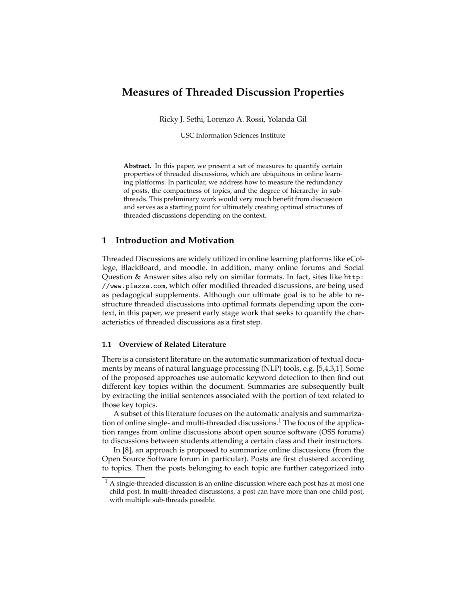## **Measures of Threaded Discussion Properties**

Ricky J. Sethi, Lorenzo A. Rossi, Yolanda Gil

USC Information Sciences Institute

**Abstract.** In this paper, we present a set of measures to quantify certain properties of threaded discussions, which are ubiquitous in online learning platforms. In particular, we address how to measure the redundancy of posts, the compactness of topics, and the degree of hierarchy in subthreads. This preliminary work would very much benefit from discussion and serves as a starting point for ultimately creating optimal structures of threaded discussions depending on the context.

### **1 Introduction and Motivation**

Threaded Discussions are widely utilized in online learning platforms like eCollege, BlackBoard, and moodle. In addition, many online forums and Social Question & Answer sites also rely on similar formats. In fact, sites like http: //www.piazza.com, which offer modified threaded discussions, are being used as pedagogical supplements. Although our ultimate goal is to be able to restructure threaded discussions into optimal formats depending upon the context, in this paper, we present early stage work that seeks to quantify the characteristics of threaded discussions as a first step.

#### **1.1 Overview of Related Literature**

There is a consistent literature on the automatic summarization of textual documents by means of natural language processing (NLP) tools, e.g. [5,4,3,1]. Some of the proposed approaches use automatic keyword detection to then find out different key topics within the document. Summaries are subsequently built by extracting the initial sentences associated with the portion of text related to those key topics.

A subset of this literature focuses on the automatic analysis and summarization of online single- and multi-threaded discussions.<sup>1</sup> The focus of the application ranges from online discussions about open source software (OSS forums) to discussions between students attending a certain class and their instructors.

In [8], an approach is proposed to summarize online discussions (from the Open Source Software forum in particular). Posts are first clustered according to topics. Then the posts belonging to each topic are further categorized into

 $^{\rm 1}$  A single-threaded discussion is an online discussion where each post has at most one child post. In multi-threaded discussions, a post can have more than one child post, with multiple sub-threads possible.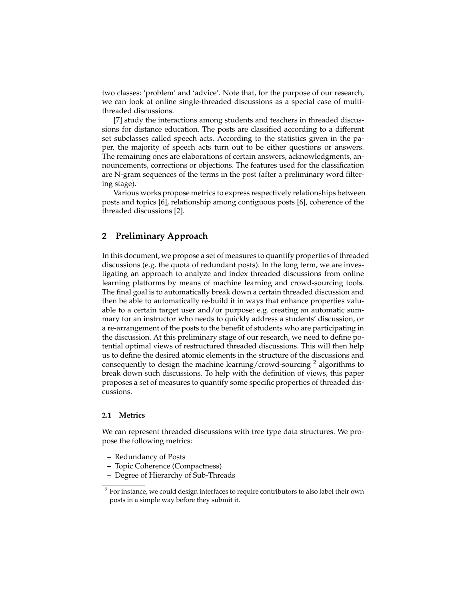two classes: 'problem' and 'advice'. Note that, for the purpose of our research, we can look at online single-threaded discussions as a special case of multithreaded discussions.

[7] study the interactions among students and teachers in threaded discussions for distance education. The posts are classified according to a different set subclasses called speech acts. According to the statistics given in the paper, the majority of speech acts turn out to be either questions or answers. The remaining ones are elaborations of certain answers, acknowledgments, announcements, corrections or objections. The features used for the classification are N-gram sequences of the terms in the post (after a preliminary word filtering stage).

Various works propose metrics to express respectively relationships between posts and topics [6], relationship among contiguous posts [6], coherence of the threaded discussions [2].

### **2 Preliminary Approach**

In this document, we propose a set of measures to quantify properties of threaded discussions (e.g. the quota of redundant posts). In the long term, we are investigating an approach to analyze and index threaded discussions from online learning platforms by means of machine learning and crowd-sourcing tools. The final goal is to automatically break down a certain threaded discussion and then be able to automatically re-build it in ways that enhance properties valuable to a certain target user and/or purpose: e.g. creating an automatic summary for an instructor who needs to quickly address a students' discussion, or a re-arrangement of the posts to the benefit of students who are participating in the discussion. At this preliminary stage of our research, we need to define potential optimal views of restructured threaded discussions. This will then help us to define the desired atomic elements in the structure of the discussions and consequently to design the machine learning/crowd-sourcing  $2$  algorithms to break down such discussions. To help with the definition of views, this paper proposes a set of measures to quantify some specific properties of threaded discussions.

#### **2.1 Metrics**

We can represent threaded discussions with tree type data structures. We propose the following metrics:

- **–** Redundancy of Posts
- **–** Topic Coherence (Compactness)
- **–** Degree of Hierarchy of Sub-Threads

<sup>&</sup>lt;sup>2</sup> For instance, we could design interfaces to require contributors to also label their own posts in a simple way before they submit it.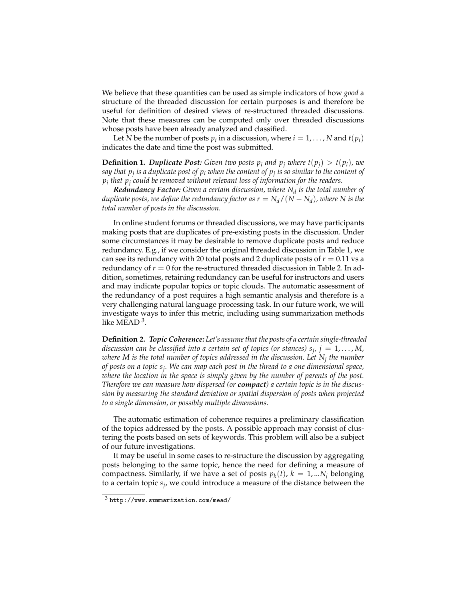We believe that these quantities can be used as simple indicators of how *good* a structure of the threaded discussion for certain purposes is and therefore be useful for definition of desired views of re-structured threaded discussions. Note that these measures can be computed only over threaded discussions whose posts have been already analyzed and classified.

Let *N* be the number of posts  $p_i$  in a discussion, where  $i = 1, ..., N$  and  $t(p_i)$ indicates the date and time the post was submitted.

**Definition 1. Duplicate Post:** Given two posts  $p_i$  and  $p_j$  where  $t(p_i) > t(p_i)$ , we *say that p<sup>j</sup> is a duplicate post of p<sup>i</sup> when the content of p<sup>j</sup> is so similar to the content of pi that p<sup>j</sup> could be removed without relevant loss of information for the readers.*

*Redundancy Factor: Given a certain discussion, where N<sup>d</sup> is the total number of duplicate posts, we define the redundancy factor as*  $r = N_d/(N-N_d)$ *, where*  $N$  *is the total number of posts in the discussion.*

In online student forums or threaded discussions, we may have participants making posts that are duplicates of pre-existing posts in the discussion. Under some circumstances it may be desirable to remove duplicate posts and reduce redundancy. E.g., if we consider the original threaded discussion in Table 1, we can see its redundancy with 20 total posts and 2 duplicate posts of  $r = 0.11$  vs a redundancy of *r* = 0 for the re-structured threaded discussion in Table 2. In addition, sometimes, retaining redundancy can be useful for instructors and users and may indicate popular topics or topic clouds. The automatic assessment of the redundancy of a post requires a high semantic analysis and therefore is a very challenging natural language processing task. In our future work, we will investigate ways to infer this metric, including using summarization methods like MEAD<sup>3</sup>.

**Definition 2.** *Topic Coherence: Let's assume that the posts of a certain single-threaded discussion can be classified into a certain set of topics (or stances) s<sup>j</sup> , j* = 1, . . . , *M, where M is the total number of topics addressed in the discussion. Let N<sup>j</sup> the number of posts on a topic s<sup>j</sup> . We can map each post in the thread to a one dimensional space, where the location in the space is simply given by the number of parents of the post. Therefore we can measure how dispersed (or compact) a certain topic is in the discussion by measuring the standard deviation or spatial dispersion of posts when projected to a single dimension, or possibly multiple dimensions.*

The automatic estimation of coherence requires a preliminary classification of the topics addressed by the posts. A possible approach may consist of clustering the posts based on sets of keywords. This problem will also be a subject of our future investigations.

It may be useful in some cases to re-structure the discussion by aggregating posts belonging to the same topic, hence the need for defining a measure of compactness. Similarly, if we have a set of posts  $p_k(t)$ ,  $k = 1,...N_j$  belonging to a certain topic *s<sup>j</sup>* , we could introduce a measure of the distance between the

 $3$  http://www.summarization.com/mead/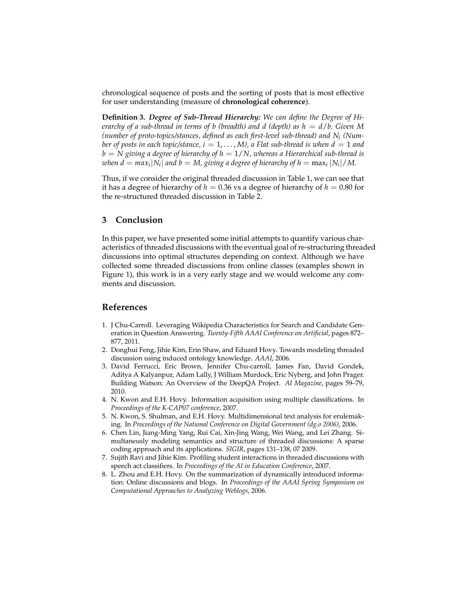chronological sequence of posts and the sorting of posts that is most effective for user understanding (measure of **chronological coherence**).

**Definition 3.** *Degree of Sub-Thread Hierarchy: We can define the Degree of Hierarchy of a sub-thread in terms of b (breadth) and d (depth) as h* = *d*/*b. Given M (number of proto-topics/stances, defined as each first-level sub-thread) and N<sup>i</sup> (Number of posts in each topic/stance, i* = 1, ..., *M*), *a* Flat sub-thread is when  $d = 1$  and *b* = *N giving a degree of hierarchy of h* = 1/*N, whereas a Hierarchical sub-thread is when*  $d = max_i |N_i|$  *and*  $b = M$ *, giving a degree of hierarchy of*  $h = max_i |N_i| / M$ *.* 

Thus, if we consider the original threaded discussion in Table 1, we can see that it has a degree of hierarchy of  $h = 0.36$  vs a degree of hierarchy of  $h = 0.80$  for the re-structured threaded discussion in Table 2.

### **3 Conclusion**

In this paper, we have presented some initial attempts to quantify various characteristics of threaded discussions with the eventual goal of re-structuring threaded discussions into optimal structures depending on context. Although we have collected some threaded discussions from online classes (examples shown in Figure 1), this work is in a very early stage and we would welcome any comments and discussion.

### **References**

- 1. J Chu-Carroll. Leveraging Wikipedia Characteristics for Search and Candidate Generation in Question Answering. *Twenty-Fifth AAAI Conference on Artificial*, pages 872– 877, 2011.
- 2. Donghui Feng, Jihie Kim, Erin Shaw, and Eduard Hovy. Towards modeling threaded discussion using induced ontology knowledge. *AAAI*, 2006.
- 3. David Ferrucci, Eric Brown, Jennifer Chu-carroll, James Fan, David Gondek, Aditya A Kalyanpur, Adam Lally, J William Murdock, Eric Nyberg, and John Prager. Building Watson: An Overview of the DeepQA Project. *AI Magazine*, pages 59–79, 2010.
- 4. N. Kwon and E.H. Hovy. Information acquisition using multiple classifications. In *Proceedings of the K-CAP07 conference*, 2007.
- 5. N. Kwon, S. Shulman, and E.H. Hovy. Multidimensional text analysis for erulemaking. In *Proceedings of the National Conference on Digital Government (dg.o 2006)*, 2006.
- 6. Chen Lin, Jiang-Ming Yang, Rui Cai, Xin-Jing Wang, Wei Wang, and Lei Zhang. Simultaneusly modeling semantics and structure of threaded discussions: A sparse coding approach and its applications. *SIGIR*, pages 131–138, 07 2009.
- 7. Sujith Ravi and Jihie Kim. Profiling student interactions in threaded discussions with speech act classifiers. In *Proceedings of the AI in Education Conference*, 2007.
- 8. L. Zhou and E.H. Hovy. On the summarization of dynamically introduced information: Online discussions and blogs. In *Proceedings of the AAAI Spring Symposium on Computational Approaches to Analyzing Weblogs*, 2006.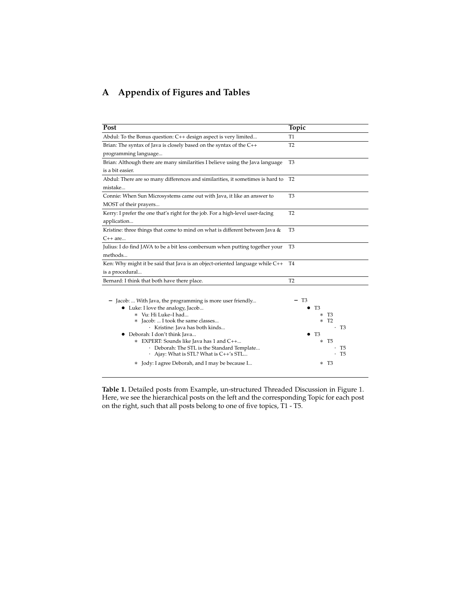# **A Appendix of Figures and Tables**

| Post                                                                           | Topic                    |
|--------------------------------------------------------------------------------|--------------------------|
| Abdul: To the Bonus question: C++ design aspect is very limited                | T <sub>1</sub>           |
| Brian: The syntax of Java is closely based on the syntax of the C++            | T <sub>2</sub>           |
| programming language                                                           |                          |
| Brian: Although there are many similarities I believe using the Java language  | T <sub>3</sub>           |
| is a bit easier.                                                               |                          |
| Abdul: There are so many differences and similarities, it sometimes is hard to | T <sub>2</sub>           |
| mistake                                                                        |                          |
| Connie: When Sun Microsystems came out with Java, it like an answer to         | T <sub>3</sub>           |
| MOST of their prayers                                                          |                          |
| Kerry: I prefer the one that's right for the job. For a high-level user-facing | T <sub>2</sub>           |
| application                                                                    |                          |
| Kristine: three things that come to mind on what is different between Java &   | T3                       |
| $C++$ are                                                                      |                          |
| Julius: I do find JAVA to be a bit less combersum when putting together your   | T <sub>3</sub>           |
| methods                                                                        |                          |
| Ken: Why might it be said that Java is an object-oriented language while C++   | T4                       |
| is a procedural                                                                |                          |
| Bernard: I think that both have there place.                                   | T <sub>2</sub>           |
|                                                                                |                          |
| - Jacob:  With Java, the programming is more user friendly                     | T3                       |
| • Luke: I love the analogy, Jacob                                              | T3                       |
| * Vu: Hi Luke-I had                                                            | * T3                     |
| * Jacob:  I took the same classes                                              | T <sub>2</sub><br>$\ast$ |
| · Kristine: Java has both kinds                                                | $\cdot$ T <sub>3</sub>   |
| • Deborah: I don't think Java                                                  | - T3                     |
| * EXPERT: Sounds like Java has 1 and C++                                       | T5<br>$\ast$             |
| · Deborah: The STL is the Standard Template                                    | T5                       |
| Ajay: What is STL? What is C++'s STL                                           | T <sub>5</sub>           |
| * Jody: I agree Deborah, and I may be because I                                | * T3                     |

**Table 1.** Detailed posts from Example, un-structured Threaded Discussion in Figure 1. Here, we see the hierarchical posts on the left and the corresponding Topic for each post on the right, such that all posts belong to one of five topics, T1 - T5.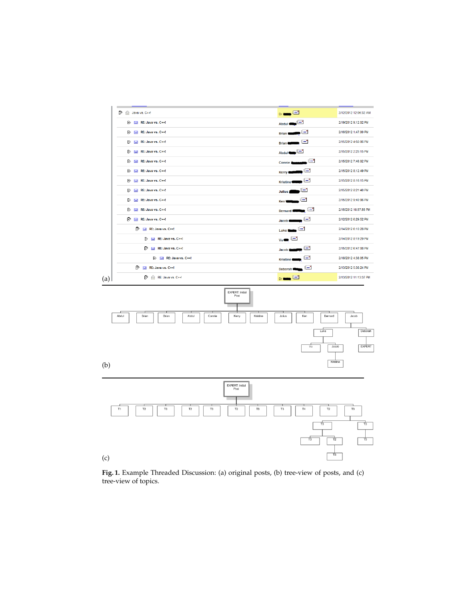

**Fig. 1.** Example Threaded Discussion: (a) original posts, (b) tree-view of posts, and (c) tree-view of topics.